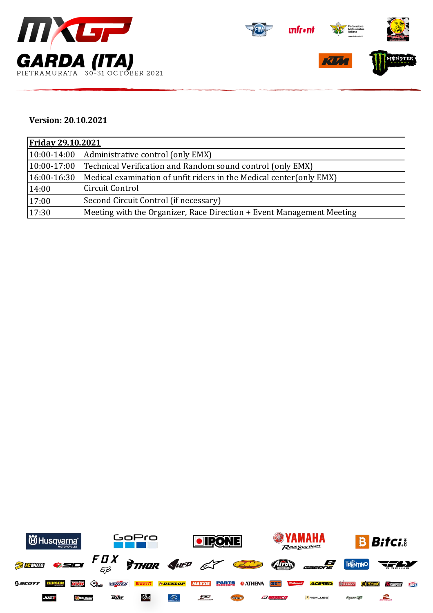



## **Version: 20.10.2021**

| <b>Friday 29.10.2021</b> |                                                                       |  |  |  |
|--------------------------|-----------------------------------------------------------------------|--|--|--|
|                          | $(10:00-14:00$ Administrative control (only EMX)                      |  |  |  |
| $10:00-17:00$            | Technical Verification and Random sound control (only EMX)            |  |  |  |
| $ 16:00-16:30 $          | Medical examination of unfit riders in the Medical center (only EMX)  |  |  |  |
| 14:00                    | Circuit Control                                                       |  |  |  |
| 17:00                    | Second Circuit Control (if necessary)                                 |  |  |  |
| 17:30                    | Meeting with the Organizer, Race Direction + Event Management Meeting |  |  |  |

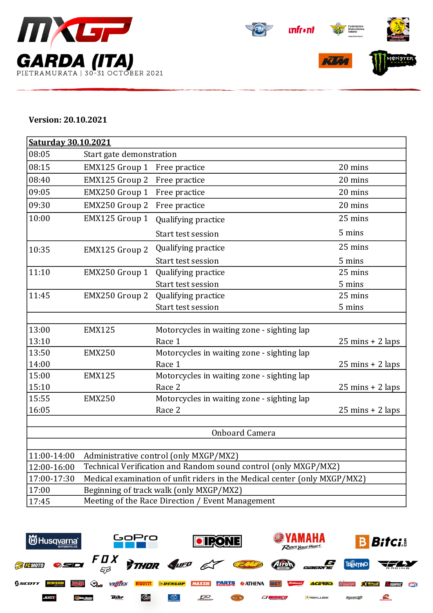



## **Version: 20.10.2021**

| Saturday 30.10.2021 |                                                                           |                                            |                                    |  |  |  |
|---------------------|---------------------------------------------------------------------------|--------------------------------------------|------------------------------------|--|--|--|
| 08:05               | Start gate demonstration                                                  |                                            |                                    |  |  |  |
| 08:15               | EMX125 Group 1                                                            | Free practice                              | 20 mins                            |  |  |  |
| 08:40               | EMX125 Group 2                                                            | Free practice                              | 20 mins                            |  |  |  |
| 09:05               | EMX250 Group 1                                                            | Free practice                              | 20 mins                            |  |  |  |
| 09:30               | EMX250 Group 2                                                            | Free practice                              | 20 mins                            |  |  |  |
| 10:00               | EMX125 Group 1                                                            | Qualifying practice                        | 25 mins                            |  |  |  |
|                     |                                                                           | Start test session                         | 5 mins                             |  |  |  |
| 10:35               | EMX125 Group 2                                                            | Qualifying practice                        | 25 mins                            |  |  |  |
|                     |                                                                           | Start test session                         | 5 mins                             |  |  |  |
| 11:10               | EMX250 Group 1                                                            | Qualifying practice                        | 25 mins                            |  |  |  |
|                     |                                                                           | Start test session                         | 5 mins                             |  |  |  |
| 11:45               | EMX250 Group 2                                                            | Qualifying practice                        | 25 mins                            |  |  |  |
|                     |                                                                           | Start test session                         | 5 mins                             |  |  |  |
|                     |                                                                           |                                            |                                    |  |  |  |
| 13:00               | <b>EMX125</b>                                                             | Motorcycles in waiting zone - sighting lap |                                    |  |  |  |
| 13:10               |                                                                           | Race 1                                     | $25 \text{ mins} + 2 \text{ laps}$ |  |  |  |
| 13:50               | <b>EMX250</b>                                                             | Motorcycles in waiting zone - sighting lap |                                    |  |  |  |
| 14:00               |                                                                           | Race 1                                     | $25 \text{ mins} + 2 \text{ laps}$ |  |  |  |
| 15:00               | <b>EMX125</b>                                                             | Motorcycles in waiting zone - sighting lap |                                    |  |  |  |
| 15:10               |                                                                           | Race 2                                     | $25 \text{ mins} + 2 \text{ laps}$ |  |  |  |
| 15:55               | <b>EMX250</b>                                                             | Motorcycles in waiting zone - sighting lap |                                    |  |  |  |
| 16:05               |                                                                           | Race 2                                     | $25 \text{ mins} + 2 \text{ laps}$ |  |  |  |
|                     |                                                                           |                                            |                                    |  |  |  |
|                     |                                                                           | <b>Onboard Camera</b>                      |                                    |  |  |  |
|                     |                                                                           |                                            |                                    |  |  |  |
| 11:00-14:00         | Administrative control (only MXGP/MX2)                                    |                                            |                                    |  |  |  |
| 12:00-16:00         | Technical Verification and Random sound control (only MXGP/MX2)           |                                            |                                    |  |  |  |
| 17:00-17:30         | Medical examination of unfit riders in the Medical center (only MXGP/MX2) |                                            |                                    |  |  |  |
| 17:00               | Beginning of track walk (only MXGP/MX2)                                   |                                            |                                    |  |  |  |
| 17:45               | Meeting of the Race Direction / Event Management                          |                                            |                                    |  |  |  |